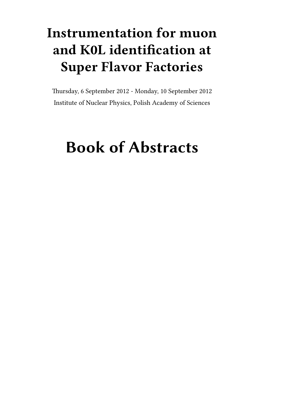# **Instrumentation for muon and K0L identification at Super Flavor Factories**

Thursday, 6 September 2012 - Monday, 10 September 2012 Institute of Nuclear Physics, Polish Academy of Sciences

# **Book of Abstracts**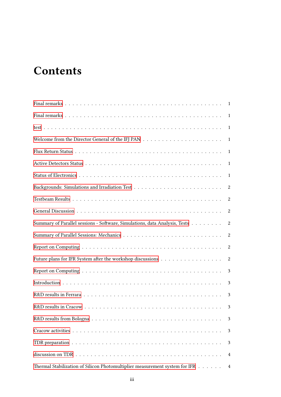# **Contents**

|                                                                                                                | 1                |
|----------------------------------------------------------------------------------------------------------------|------------------|
|                                                                                                                | 1                |
|                                                                                                                | 1                |
|                                                                                                                | 1                |
|                                                                                                                | 1                |
|                                                                                                                | 1                |
|                                                                                                                | 2                |
|                                                                                                                | $\boldsymbol{2}$ |
|                                                                                                                | 2                |
| Summary of Parallel sessions - Software, Simulations, data Analysis, Tests                                     | 2                |
|                                                                                                                | 2                |
|                                                                                                                | 2                |
| Future plans for IFR System after the workshop discussions                                                     | $\boldsymbol{2}$ |
|                                                                                                                | 3                |
|                                                                                                                | 3                |
|                                                                                                                | 3                |
|                                                                                                                | 3                |
|                                                                                                                | 3                |
|                                                                                                                | 3                |
|                                                                                                                | 3                |
| discussion on TDR $\ldots \ldots \ldots \ldots \ldots \ldots \ldots \ldots \ldots \ldots \ldots \ldots \ldots$ | 4                |
| Thermal Stabilization of Silicon Photomultiplier measurement system for IFR                                    | $\overline{4}$   |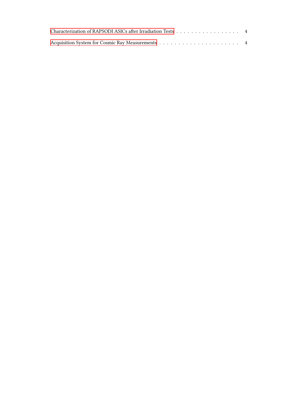| Characterization of RAPSODI ASICs after Irradiation Tests 4 |  |
|-------------------------------------------------------------|--|
|                                                             |  |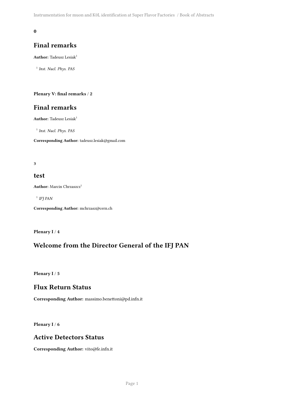#### <span id="page-4-0"></span>**0**

#### **Final remarks**

**Author:** Tadeusz Lesiak<sup>1</sup>

1 *Inst. Nucl. Phys. PAS*

#### <span id="page-4-1"></span>**Plenary V: final remarks** / **2**

#### **Final remarks**

**Author:** Tadeusz Lesiak<sup>1</sup>

1 *Inst. Nucl. Phys. PAS*

**Corresponding Author:** tadeusz.lesiak@gmail.com

#### <span id="page-4-2"></span>**3**

#### **test**

**Author:** Marcin Chrzaszcz<sup>1</sup>

1 *IFJ PAN*

**Corresponding Author:** mchrzasz@cern.ch

<span id="page-4-3"></span>**Plenary I** / **4**

#### **Welcome from the Director General of the IFJ PAN**

<span id="page-4-4"></span>**Plenary I** / **5**

#### **Flux Return Status**

**Corresponding Author:** massimo.benettoni@pd.infn.it

<span id="page-4-5"></span>**Plenary I** / **6**

#### **Active Detectors Status**

<span id="page-4-6"></span>**Corresponding Author:** vito@fe.infn.it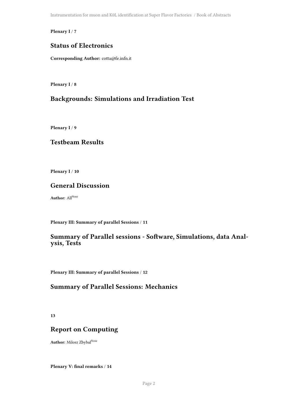Instrumentation for muon and K0L identification at Super Flavor Factories / Book of Abstracts

**Plenary I** / **7**

## **Status of Electronics**

**Corresponding Author:** cotta@fe.infn.it

<span id="page-5-0"></span>**Plenary I** / **8**

## **Backgrounds: Simulations and Irradiation Test**

<span id="page-5-1"></span>**Plenary I** / **9**

#### **Testbeam Results**

<span id="page-5-2"></span>**Plenary I** / **10**

#### **General Discussion**

**Author:** All<sup>None</sup>

<span id="page-5-3"></span>**Plenary III: Summary of parallel Sessions** / **11**

#### **Summary of Parallel sessions - Software, Simulations, data Analysis, Tests**

<span id="page-5-4"></span>**Plenary III: Summary of parallel Sessions** / **12**

#### **Summary of Parallel Sessions: Mechanics**

<span id="page-5-5"></span>**13**

#### **Report on Computing**

**Author:** Milosz Zbybal<sup>None</sup>

<span id="page-5-6"></span>**Plenary V: final remarks** / **14**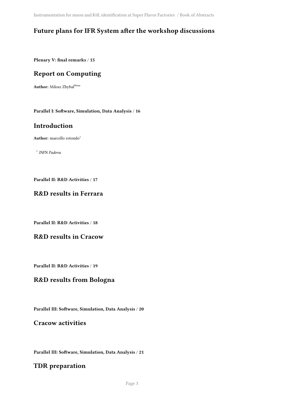Instrumentation for muon and K0L identification at Super Flavor Factories / Book of Abstracts

# **Future plans for IFR System after the workshop discussions**

<span id="page-6-0"></span>**Plenary V: final remarks** / **15**

# **Report on Computing**

**Author:** Milosz Zbybal<sup>None</sup>

<span id="page-6-1"></span>**Parallel I: Software, Simulation, Data Analysis** / **16**

#### **Introduction**

**Author:** marcello rotondo<sup>1</sup>

1 *INFN Padova*

<span id="page-6-2"></span>**Parallel II: R&D Activities** / **17**

## **R&D results in Ferrara**

<span id="page-6-3"></span>**Parallel II: R&D Activities** / **18**

#### **R&D results in Cracow**

<span id="page-6-4"></span>**Parallel II: R&D Activities** / **19**

#### **R&D results from Bologna**

<span id="page-6-5"></span>**Parallel III: Software, Simulation, Data Analysis** / **20**

#### **Cracow activities**

<span id="page-6-6"></span>**Parallel III: Software, Simulation, Data Analysis** / **21**

#### **TDR preparation**